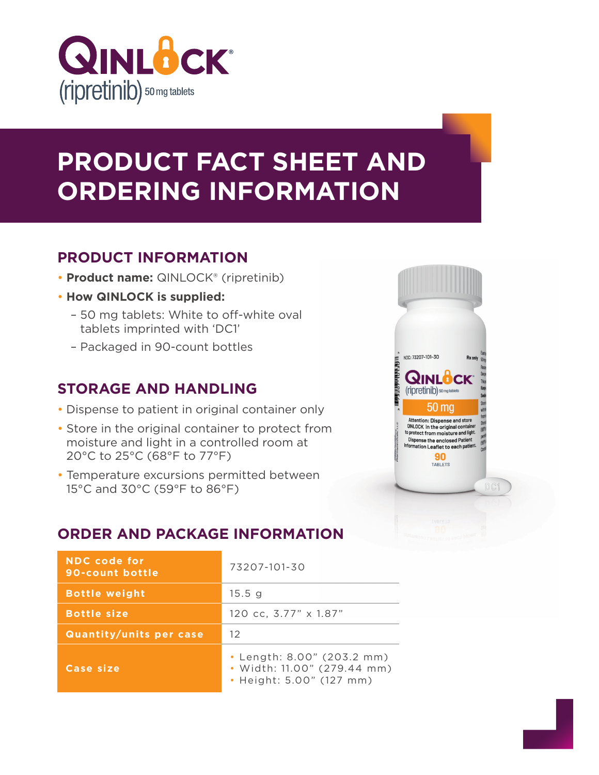

# **PRODUCT FACT SHEET AND ORDERING INFORMATION**

## **PRODUCT INFORMATION**

- **Product name:** QINLOCK® (ripretinib)
- **How QINLOCK is supplied:**
	- 50 mg tablets: White to off-white oval tablets imprinted with 'DC1'
	- Packaged in 90-count bottles

#### **STORAGE AND HANDLING**

- Dispense to patient in original container only
- Store in the original container to protect from moisture and light in a controlled room at 20°C to 25°C (68°F to 77°F)
- Temperature excursions permitted between 15°C and 30°C (59°F to 86°F)

## **ORDER AND PACKAGE INFORMATION**

| <b>NDC</b> code for<br>90-count bottle | 73207-101-30                                                                          |  |
|----------------------------------------|---------------------------------------------------------------------------------------|--|
| <b>Bottle weight</b>                   | 15.5 <sub>g</sub>                                                                     |  |
| <b>Bottle size</b>                     | 120 cc, 3.77" x 1.87"                                                                 |  |
| <b>Quantity/units per case</b>         | 12                                                                                    |  |
| Case size                              | • Length: 8.00" (203.2 mm)<br>• Width: 11.00" (279.44 mm)<br>• Height: 5.00" (127 mm) |  |